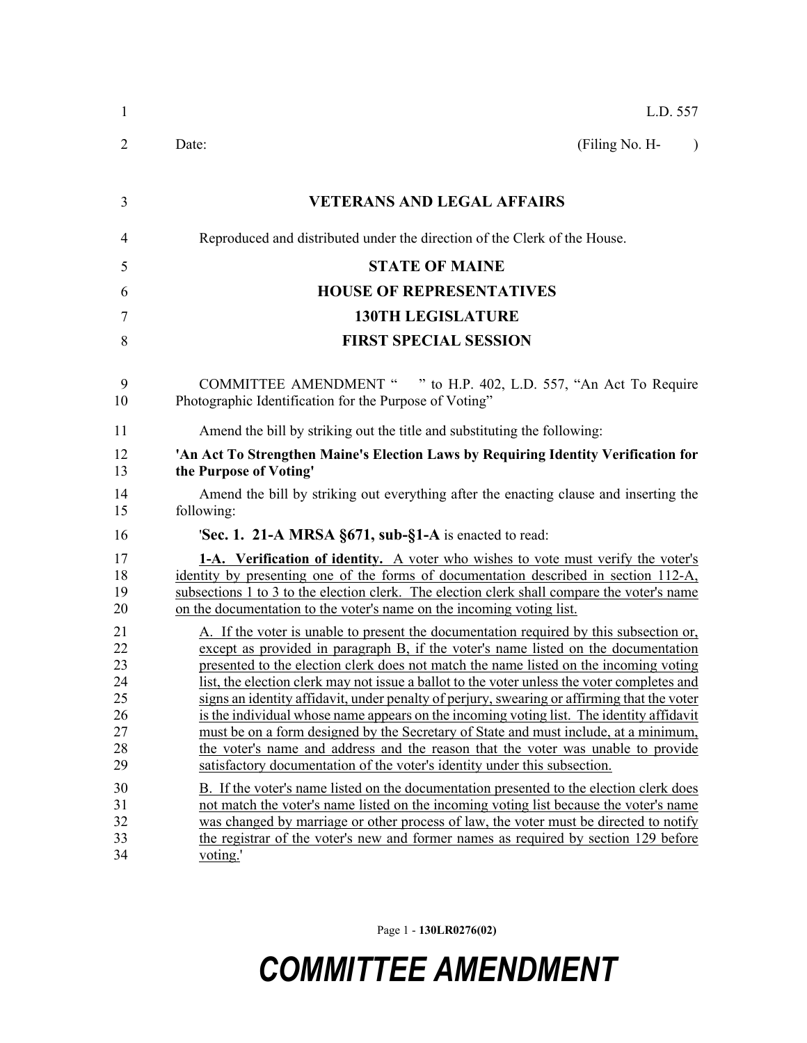| $\mathbf{1}$                                       | L.D. 557                                                                                                                                                                                                                                                                                                                                                                                                                                                                                                                                                                                                                                                                                                                                                                                                                 |
|----------------------------------------------------|--------------------------------------------------------------------------------------------------------------------------------------------------------------------------------------------------------------------------------------------------------------------------------------------------------------------------------------------------------------------------------------------------------------------------------------------------------------------------------------------------------------------------------------------------------------------------------------------------------------------------------------------------------------------------------------------------------------------------------------------------------------------------------------------------------------------------|
| 2                                                  | Date:<br>(Filing No. H-<br>$\lambda$                                                                                                                                                                                                                                                                                                                                                                                                                                                                                                                                                                                                                                                                                                                                                                                     |
| 3                                                  | <b>VETERANS AND LEGAL AFFAIRS</b>                                                                                                                                                                                                                                                                                                                                                                                                                                                                                                                                                                                                                                                                                                                                                                                        |
| $\overline{4}$                                     | Reproduced and distributed under the direction of the Clerk of the House.                                                                                                                                                                                                                                                                                                                                                                                                                                                                                                                                                                                                                                                                                                                                                |
| 5                                                  | <b>STATE OF MAINE</b>                                                                                                                                                                                                                                                                                                                                                                                                                                                                                                                                                                                                                                                                                                                                                                                                    |
| 6                                                  | <b>HOUSE OF REPRESENTATIVES</b>                                                                                                                                                                                                                                                                                                                                                                                                                                                                                                                                                                                                                                                                                                                                                                                          |
| 7                                                  | <b>130TH LEGISLATURE</b>                                                                                                                                                                                                                                                                                                                                                                                                                                                                                                                                                                                                                                                                                                                                                                                                 |
| 8                                                  | <b>FIRST SPECIAL SESSION</b>                                                                                                                                                                                                                                                                                                                                                                                                                                                                                                                                                                                                                                                                                                                                                                                             |
| 9<br>10                                            | " to H.P. 402, L.D. 557, "An Act To Require<br><b>COMMITTEE AMENDMENT "</b><br>Photographic Identification for the Purpose of Voting"                                                                                                                                                                                                                                                                                                                                                                                                                                                                                                                                                                                                                                                                                    |
| 11                                                 | Amend the bill by striking out the title and substituting the following:                                                                                                                                                                                                                                                                                                                                                                                                                                                                                                                                                                                                                                                                                                                                                 |
| 12<br>13                                           | 'An Act To Strengthen Maine's Election Laws by Requiring Identity Verification for<br>the Purpose of Voting'                                                                                                                                                                                                                                                                                                                                                                                                                                                                                                                                                                                                                                                                                                             |
| 14<br>15                                           | Amend the bill by striking out everything after the enacting clause and inserting the<br>following:                                                                                                                                                                                                                                                                                                                                                                                                                                                                                                                                                                                                                                                                                                                      |
| 16                                                 | <b>Sec. 1. 21-A MRSA §671, sub-§1-A</b> is enacted to read:                                                                                                                                                                                                                                                                                                                                                                                                                                                                                                                                                                                                                                                                                                                                                              |
| 17<br>18<br>19<br>20                               | <b>1-A.</b> Verification of identity. A voter who wishes to vote must verify the voter's<br>identity by presenting one of the forms of documentation described in section 112-A,<br>subsections 1 to 3 to the election clerk. The election clerk shall compare the voter's name<br>on the documentation to the voter's name on the incoming voting list.                                                                                                                                                                                                                                                                                                                                                                                                                                                                 |
| 21<br>22<br>23<br>24<br>25<br>26<br>27<br>28<br>29 | A. If the voter is unable to present the documentation required by this subsection or,<br>except as provided in paragraph B, if the voter's name listed on the documentation<br>presented to the election clerk does not match the name listed on the incoming voting<br>list, the election clerk may not issue a ballot to the voter unless the voter completes and<br>signs an identity affidavit, under penalty of perjury, swearing or affirming that the voter<br>is the individual whose name appears on the incoming voting list. The identity affidavit<br>must be on a form designed by the Secretary of State and must include, at a minimum,<br>the voter's name and address and the reason that the voter was unable to provide<br>satisfactory documentation of the voter's identity under this subsection. |
| 30<br>31<br>32<br>33<br>34                         | B. If the voter's name listed on the documentation presented to the election clerk does<br>not match the voter's name listed on the incoming voting list because the voter's name<br>was changed by marriage or other process of law, the voter must be directed to notify<br>the registrar of the voter's new and former names as required by section 129 before<br>voting.'                                                                                                                                                                                                                                                                                                                                                                                                                                            |

Page 1 - **130LR0276(02)**

## *COMMITTEE AMENDMENT*